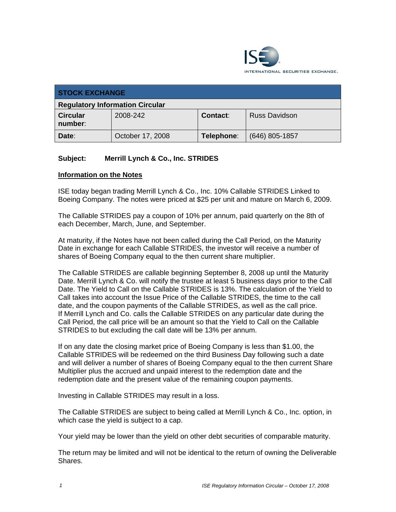

| <b>STOCK EXCHANGE</b>                  |                  |                 |                      |  |  |  |
|----------------------------------------|------------------|-----------------|----------------------|--|--|--|
| <b>Regulatory Information Circular</b> |                  |                 |                      |  |  |  |
| <b>Circular</b><br>number:             | 2008-242         | <b>Contact:</b> | <b>Russ Davidson</b> |  |  |  |
| Date:                                  | October 17, 2008 | Telephone:      | $(646)$ 805-1857     |  |  |  |

## **Subject: Merrill Lynch & Co., Inc. STRIDES**

## **Information on the Notes**

ISE today began trading Merrill Lynch & Co., Inc. 10% Callable STRIDES Linked to Boeing Company. The notes were priced at \$25 per unit and mature on March 6, 2009.

The Callable STRIDES pay a coupon of 10% per annum, paid quarterly on the 8th of each December, March, June, and September.

At maturity, if the Notes have not been called during the Call Period, on the Maturity Date in exchange for each Callable STRIDES, the investor will receive a number of shares of Boeing Company equal to the then current share multiplier.

The Callable STRIDES are callable beginning September 8, 2008 up until the Maturity Date. Merrill Lynch & Co. will notify the trustee at least 5 business days prior to the Call Date. The Yield to Call on the Callable STRIDES is 13%. The calculation of the Yield to Call takes into account the Issue Price of the Callable STRIDES, the time to the call date, and the coupon payments of the Callable STRIDES, as well as the call price. If Merrill Lynch and Co. calls the Callable STRIDES on any particular date during the Call Period, the call price will be an amount so that the Yield to Call on the Callable STRIDES to but excluding the call date will be 13% per annum.

If on any date the closing market price of Boeing Company is less than \$1.00, the Callable STRIDES will be redeemed on the third Business Day following such a date and will deliver a number of shares of Boeing Company equal to the then current Share Multiplier plus the accrued and unpaid interest to the redemption date and the redemption date and the present value of the remaining coupon payments.

Investing in Callable STRIDES may result in a loss.

The Callable STRIDES are subject to being called at Merrill Lynch & Co., Inc. option, in which case the yield is subject to a cap.

Your yield may be lower than the yield on other debt securities of comparable maturity.

The return may be limited and will not be identical to the return of owning the Deliverable Shares.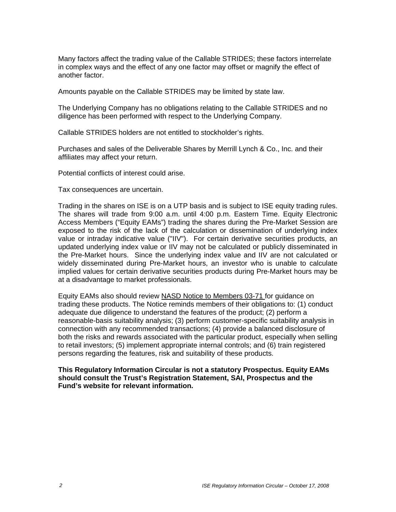Many factors affect the trading value of the Callable STRIDES; these factors interrelate in complex ways and the effect of any one factor may offset or magnify the effect of another factor.

Amounts payable on the Callable STRIDES may be limited by state law.

The Underlying Company has no obligations relating to the Callable STRIDES and no diligence has been performed with respect to the Underlying Company.

Callable STRIDES holders are not entitled to stockholder's rights.

Purchases and sales of the Deliverable Shares by Merrill Lynch & Co., Inc. and their affiliates may affect your return.

Potential conflicts of interest could arise.

Tax consequences are uncertain.

Trading in the shares on ISE is on a UTP basis and is subject to ISE equity trading rules. The shares will trade from 9:00 a.m. until 4:00 p.m. Eastern Time. Equity Electronic Access Members ("Equity EAMs") trading the shares during the Pre-Market Session are exposed to the risk of the lack of the calculation or dissemination of underlying index value or intraday indicative value ("IIV"). For certain derivative securities products, an updated underlying index value or IIV may not be calculated or publicly disseminated in the Pre-Market hours. Since the underlying index value and IIV are not calculated or widely disseminated during Pre-Market hours, an investor who is unable to calculate implied values for certain derivative securities products during Pre-Market hours may be at a disadvantage to market professionals.

Equity EAMs also should review NASD Notice to Members 03-71 for guidance on trading these products. The Notice reminds members of their obligations to: (1) conduct adequate due diligence to understand the features of the product; (2) perform a reasonable-basis suitability analysis; (3) perform customer-specific suitability analysis in connection with any recommended transactions; (4) provide a balanced disclosure of both the risks and rewards associated with the particular product, especially when selling to retail investors; (5) implement appropriate internal controls; and (6) train registered persons regarding the features, risk and suitability of these products.

**This Regulatory Information Circular is not a statutory Prospectus. Equity EAMs should consult the Trust's Registration Statement, SAI, Prospectus and the Fund's website for relevant information.**